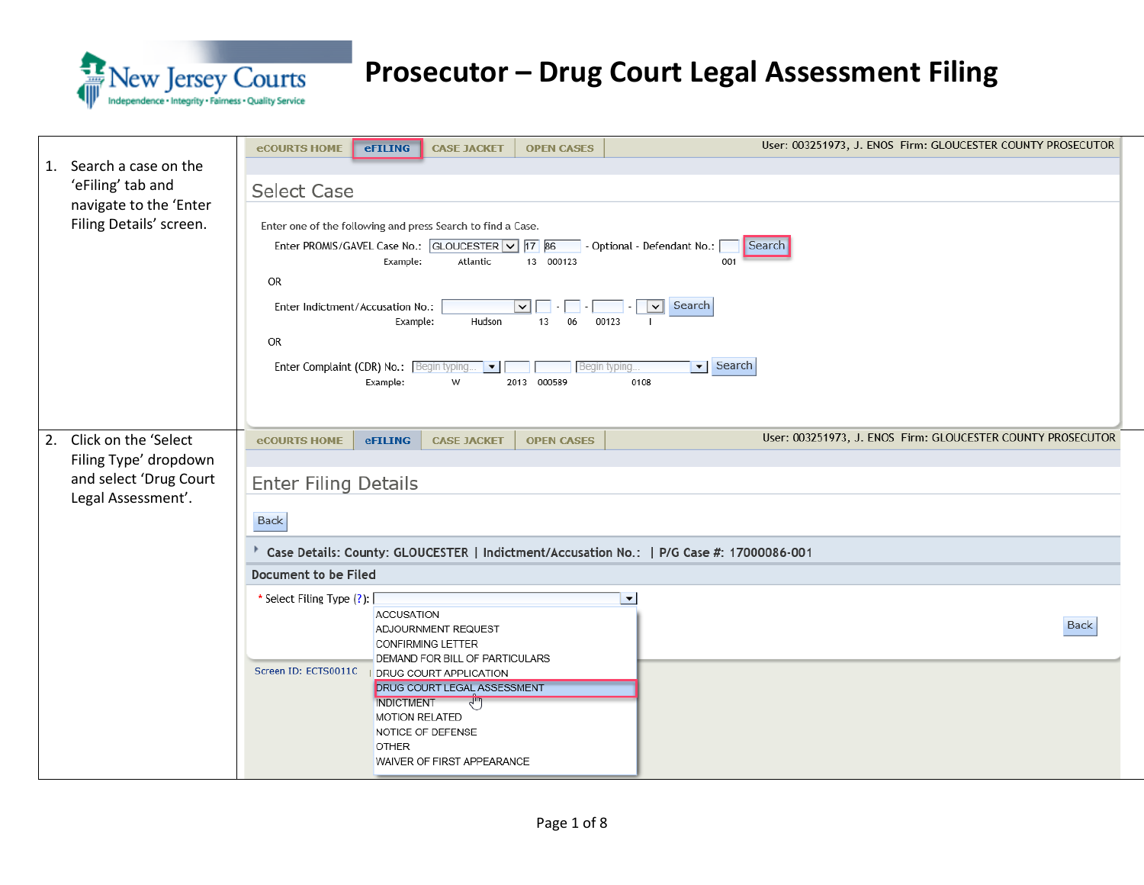

| Search a case on the<br>1.<br>'eFiling' tab and<br>navigate to the 'Enter<br>Filing Details' screen. | User: 003251973, J. ENOS Firm: GLOUCESTER COUNTY PROSECUTOR<br><b>eCOURTS HOME</b><br><b>eFILING</b><br><b>CASE JACKET</b><br><b>OPEN CASES</b><br><b>Select Case</b><br>Enter one of the following and press Search to find a Case.<br>Enter PROMIS/GAVEL Case No.: GLOUCESTER V 77 86<br>- Optional - Defendant No.:<br>Search<br>13 000123<br>Example:<br>Atlantic<br>001<br><b>OR</b><br>Search<br>Enter Indictment/Accusation No.:<br>$\vee$<br>$\vee$<br>Hudson<br>13<br>Example:<br>06<br>00123<br><b>OR</b><br>$\blacktriangleright$ Search<br>Enter Complaint (CDR) No.: Begin typing<br>$\vert \mathbf{v} \vert$<br>Begin typing.<br>2013 000589<br>0108<br>Example:<br>W |
|------------------------------------------------------------------------------------------------------|-------------------------------------------------------------------------------------------------------------------------------------------------------------------------------------------------------------------------------------------------------------------------------------------------------------------------------------------------------------------------------------------------------------------------------------------------------------------------------------------------------------------------------------------------------------------------------------------------------------------------------------------------------------------------------------|
| 2. Click on the 'Select<br>Filing Type' dropdown<br>and select 'Drug Court<br>Legal Assessment'.     | User: 003251973, J. ENOS Firm: GLOUCESTER COUNTY PROSECUTOR<br><b>eCOURTS HOME</b><br><b>OPEN CASES</b><br><b>eFILING</b><br><b>CASE JACKET</b><br><b>Enter Filing Details</b><br><b>Back</b><br>Case Details: County: GLOUCESTER   Indictment/Accusation No.:   P/G Case #: 17000086-001<br>Document to be Filed<br>* Select Filing Type (?):<br>$\blacktriangledown$<br><b>ACCUSATION</b><br><b>Back</b>                                                                                                                                                                                                                                                                          |
|                                                                                                      | ADJOURNMENT REQUEST<br><b>CONFIRMING LETTER</b><br>DEMAND FOR BILL OF PARTICULARS<br>Screen ID: ECTS0011C<br>I DRUG COURT APPLICATION<br><b>DRUG COURT LEGAL ASSESSMENT</b><br><b>INDICTMENT</b><br>√‴)<br><b>MOTION RELATED</b><br>NOTICE OF DEFENSE<br>OTHER<br>WAIVER OF FIRST APPEARANCE                                                                                                                                                                                                                                                                                                                                                                                        |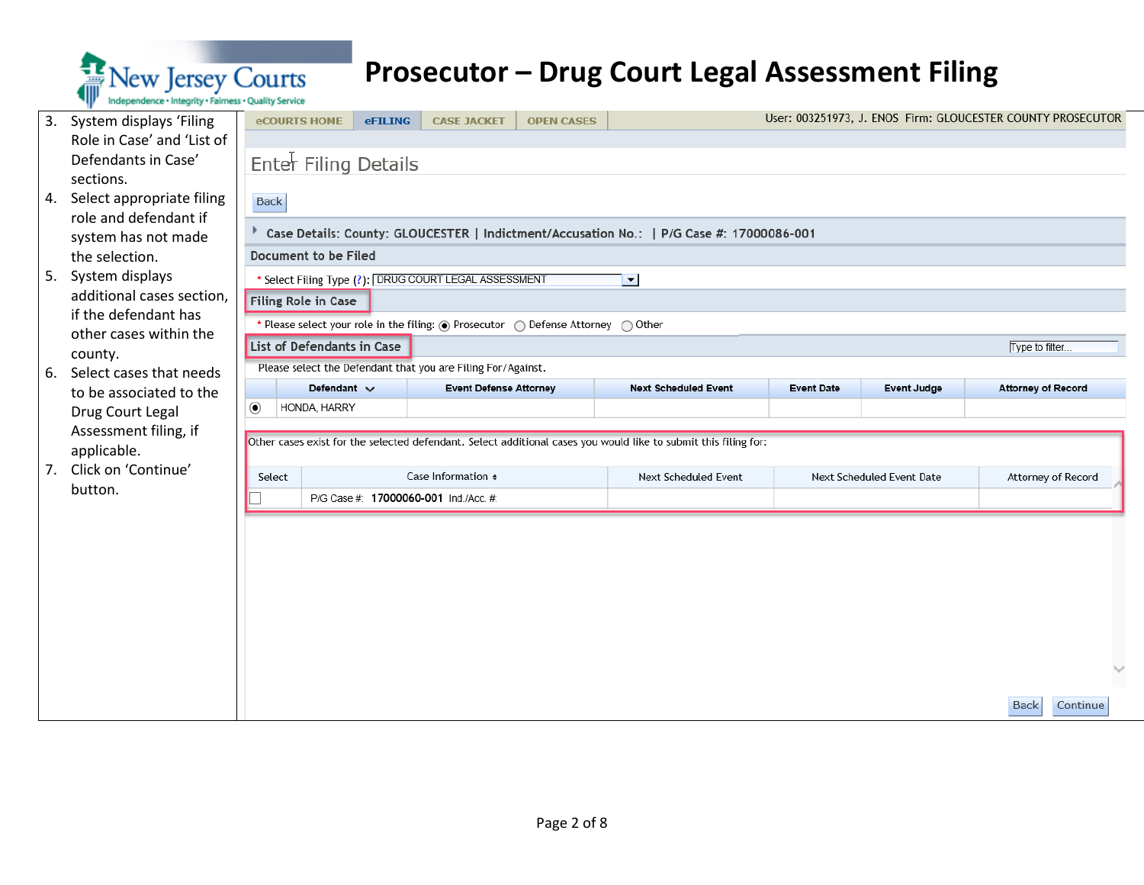

| 3. | System displays 'Filing                        |                                                                                                                       | <b>eCOURTS HOME</b>                          | <b>eFILING</b> | <b>CASE JACKET</b>                                           | <b>OPEN CASES</b> |                                                                                                                 |                   |                           | User: 003251973, J. ENOS Firm: GLOUCESTER COUNTY PROSECUTOR |  |  |
|----|------------------------------------------------|-----------------------------------------------------------------------------------------------------------------------|----------------------------------------------|----------------|--------------------------------------------------------------|-------------------|-----------------------------------------------------------------------------------------------------------------|-------------------|---------------------------|-------------------------------------------------------------|--|--|
|    | Role in Case' and 'List of                     |                                                                                                                       |                                              |                |                                                              |                   |                                                                                                                 |                   |                           |                                                             |  |  |
|    | Defendants in Case'                            |                                                                                                                       | Enter Filing Details                         |                |                                                              |                   |                                                                                                                 |                   |                           |                                                             |  |  |
|    | sections.                                      |                                                                                                                       |                                              |                |                                                              |                   |                                                                                                                 |                   |                           |                                                             |  |  |
| 4. | Select appropriate filing                      | <b>Back</b>                                                                                                           |                                              |                |                                                              |                   |                                                                                                                 |                   |                           |                                                             |  |  |
|    | role and defendant if                          | Case Details: County: GLOUCESTER   Indictment/Accusation No.:   P/G Case #: 17000086-001                              |                                              |                |                                                              |                   |                                                                                                                 |                   |                           |                                                             |  |  |
|    | system has not made                            |                                                                                                                       | Document to be Filed                         |                |                                                              |                   |                                                                                                                 |                   |                           |                                                             |  |  |
|    | the selection.                                 |                                                                                                                       |                                              |                |                                                              |                   |                                                                                                                 |                   |                           |                                                             |  |  |
| 5. | System displays                                |                                                                                                                       |                                              |                | Select Filing Type (?): DRUG COURT LEGAL ASSESSMENT          |                   | $\blacksquare$                                                                                                  |                   |                           |                                                             |  |  |
|    | additional cases section,                      |                                                                                                                       | Filing Role in Case                          |                |                                                              |                   |                                                                                                                 |                   |                           |                                                             |  |  |
|    | if the defendant has<br>other cases within the | Please select your role in the filing: $\circledcirc$ Prosecutor $\circledcirc$ Defense Attorney $\circledcirc$ Other |                                              |                |                                                              |                   |                                                                                                                 |                   |                           |                                                             |  |  |
|    | county.                                        |                                                                                                                       | List of Defendants in Case<br>Type to filter |                |                                                              |                   |                                                                                                                 |                   |                           |                                                             |  |  |
| 6. | Select cases that needs                        |                                                                                                                       |                                              |                | Please select the Defendant that you are Filing For/Against. |                   |                                                                                                                 |                   |                           |                                                             |  |  |
|    | to be associated to the                        |                                                                                                                       | Defendant $\vee$                             |                | <b>Event Defense Attorney</b>                                |                   | <b>Next Scheduled Event</b>                                                                                     | <b>Event Date</b> | <b>Event Judge</b>        | <b>Attorney of Record</b>                                   |  |  |
|    | Drug Court Legal                               | ◉                                                                                                                     | HONDA, HARRY                                 |                |                                                              |                   |                                                                                                                 |                   |                           |                                                             |  |  |
|    | Assessment filing, if                          |                                                                                                                       |                                              |                |                                                              |                   |                                                                                                                 |                   |                           |                                                             |  |  |
|    | applicable.                                    |                                                                                                                       |                                              |                |                                                              |                   | Other cases exist for the selected defendant. Select additional cases you would like to submit this filing for: |                   |                           |                                                             |  |  |
| 7. | Click on 'Continue'                            |                                                                                                                       | Select                                       |                | Case Information $\bullet$                                   |                   | <b>Next Scheduled Event</b>                                                                                     |                   | Next Scheduled Event Date | Attorney of Record                                          |  |  |
|    | button.                                        |                                                                                                                       |                                              |                | P/G Case #: 17000060-001 Ind./Acc. #:                        |                   |                                                                                                                 |                   |                           |                                                             |  |  |
|    |                                                |                                                                                                                       |                                              |                |                                                              |                   |                                                                                                                 |                   |                           |                                                             |  |  |
|    |                                                |                                                                                                                       |                                              |                |                                                              |                   |                                                                                                                 |                   |                           |                                                             |  |  |
|    |                                                |                                                                                                                       |                                              |                |                                                              |                   |                                                                                                                 |                   |                           |                                                             |  |  |
|    |                                                |                                                                                                                       |                                              |                |                                                              |                   |                                                                                                                 |                   |                           |                                                             |  |  |
|    |                                                |                                                                                                                       |                                              |                |                                                              |                   |                                                                                                                 |                   |                           |                                                             |  |  |

Continue

**Back**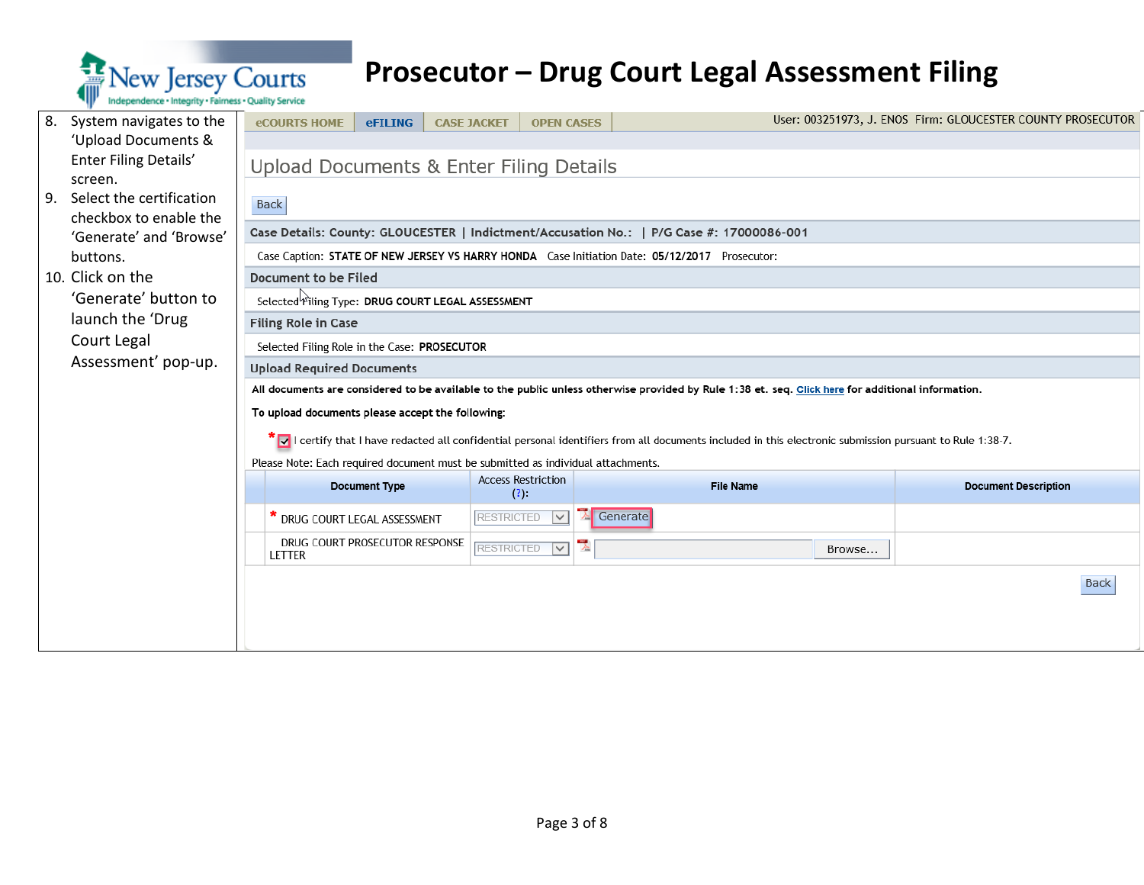

| 8.                                                                                                        | System navigates to the                           | <b>eCOURTS HOME</b>                                                                      | <b>eFILING</b>       | <b>CASE JACKET</b> | <b>OPEN CASES</b>         |   |                                                                                                                                                                              |        | User: 003251973, J. ENOS Firm: GLOUCESTER COUNTY PROSECUTOR |             |  |  |
|-----------------------------------------------------------------------------------------------------------|---------------------------------------------------|------------------------------------------------------------------------------------------|----------------------|--------------------|---------------------------|---|------------------------------------------------------------------------------------------------------------------------------------------------------------------------------|--------|-------------------------------------------------------------|-------------|--|--|
|                                                                                                           | 'Upload Documents &                               |                                                                                          |                      |                    |                           |   |                                                                                                                                                                              |        |                                                             |             |  |  |
|                                                                                                           | Enter Filing Details'                             | Upload Documents & Enter Filing Details                                                  |                      |                    |                           |   |                                                                                                                                                                              |        |                                                             |             |  |  |
|                                                                                                           | screen.                                           |                                                                                          |                      |                    |                           |   |                                                                                                                                                                              |        |                                                             |             |  |  |
| 9.                                                                                                        | Select the certification                          | <b>Back</b>                                                                              |                      |                    |                           |   |                                                                                                                                                                              |        |                                                             |             |  |  |
|                                                                                                           | checkbox to enable the<br>'Generate' and 'Browse' | Case Details: County: GLOUCESTER   Indictment/Accusation No.:   P/G Case #: 17000086-001 |                      |                    |                           |   |                                                                                                                                                                              |        |                                                             |             |  |  |
| Case Caption: STATE OF NEW JERSEY VS HARRY HONDA Case Initiation Date: 05/12/2017 Prosecutor:<br>buttons. |                                                   |                                                                                          |                      |                    |                           |   |                                                                                                                                                                              |        |                                                             |             |  |  |
|                                                                                                           | 10. Click on the                                  | Document to be Filed                                                                     |                      |                    |                           |   |                                                                                                                                                                              |        |                                                             |             |  |  |
|                                                                                                           | 'Generate' button to                              | Selected <sup>ly</sup> iling Type: DRUG COURT LEGAL ASSESSMENT                           |                      |                    |                           |   |                                                                                                                                                                              |        |                                                             |             |  |  |
|                                                                                                           | launch the 'Drug                                  | Filing Role in Case                                                                      |                      |                    |                           |   |                                                                                                                                                                              |        |                                                             |             |  |  |
|                                                                                                           | Court Legal                                       | Selected Filing Role in the Case: PROSECUTOR                                             |                      |                    |                           |   |                                                                                                                                                                              |        |                                                             |             |  |  |
|                                                                                                           | Assessment' pop-up.                               | <b>Upload Required Documents</b>                                                         |                      |                    |                           |   |                                                                                                                                                                              |        |                                                             |             |  |  |
|                                                                                                           |                                                   |                                                                                          |                      |                    |                           |   | All documents are considered to be available to the public unless otherwise provided by Rule 1:38 et. seq. Click here for additional information.                            |        |                                                             |             |  |  |
|                                                                                                           |                                                   | To upload documents please accept the following:                                         |                      |                    |                           |   |                                                                                                                                                                              |        |                                                             |             |  |  |
|                                                                                                           |                                                   |                                                                                          |                      |                    |                           |   | $\sqrt{\phantom{a}}$ I certify that I have redacted all confidential personal identifiers from all documents included in this electronic submission pursuant to Rule 1:38-7. |        |                                                             |             |  |  |
|                                                                                                           |                                                   | Please Note: Each required document must be submitted as individual attachments.         |                      |                    |                           |   |                                                                                                                                                                              |        |                                                             |             |  |  |
|                                                                                                           |                                                   |                                                                                          | <b>Document Type</b> | (?)                | <b>Access Restriction</b> |   | <b>File Name</b>                                                                                                                                                             |        | <b>Document Description</b>                                 |             |  |  |
|                                                                                                           |                                                   | * DRUG COURT LEGAL ASSESSMENT                                                            |                      | <b>RESTRICTED</b>  | $\vee$                    |   | Generate                                                                                                                                                                     |        |                                                             |             |  |  |
|                                                                                                           |                                                   | DRUG COURT PROSECUTOR RESPONSE<br>LETTER                                                 |                      | <b>RESTRICTED</b>  | $\overline{\mathbf{v}}$   | 뭿 |                                                                                                                                                                              | Browse |                                                             |             |  |  |
|                                                                                                           |                                                   |                                                                                          |                      |                    |                           |   |                                                                                                                                                                              |        |                                                             | <b>Back</b> |  |  |
|                                                                                                           |                                                   |                                                                                          |                      |                    |                           |   |                                                                                                                                                                              |        |                                                             |             |  |  |
|                                                                                                           |                                                   |                                                                                          |                      |                    |                           |   |                                                                                                                                                                              |        |                                                             |             |  |  |
|                                                                                                           |                                                   |                                                                                          |                      |                    |                           |   |                                                                                                                                                                              |        |                                                             |             |  |  |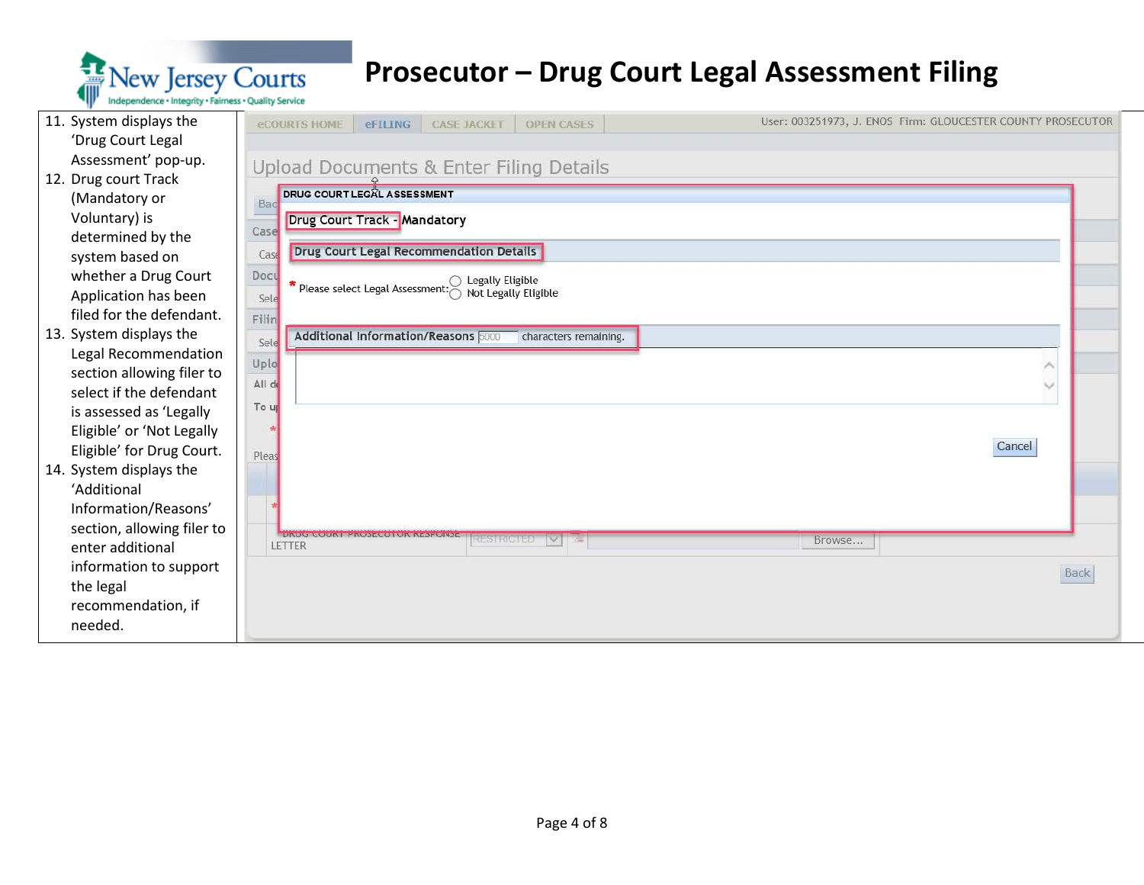

| 11. System displays the    | eCOURTS HOME<br><b>OPEN CASES</b><br><b>CASE JACKET</b><br>eFILING     | User: 003251973, J. ENOS Firm: GLOUCESTER COUNTY PROSECUTOR |
|----------------------------|------------------------------------------------------------------------|-------------------------------------------------------------|
| 'Drug Court Legal          |                                                                        |                                                             |
| Assessment' pop-up.        | Upload Documents & Enter Filing Details                                |                                                             |
| 12. Drug court Track       |                                                                        |                                                             |
| (Mandatory or              | <b>DRUG COURT LEGAL ASSESSMENT</b><br>Bac                              |                                                             |
| Voluntary) is              | Drug Court Track - Mandatory                                           |                                                             |
| determined by the          | Case                                                                   |                                                             |
| system based on            | Drug Court Legal Recommendation Details<br>Case                        |                                                             |
| whether a Drug Court       | Docu<br>$\bigcirc$ Legally Eligible<br>Please select Legal Assessment: |                                                             |
| Application has been       | Not Legally Eligible<br>Sele                                           |                                                             |
| filed for the defendant.   | Filin                                                                  |                                                             |
| 13. System displays the    | Additional Information/Reasons 6000<br>characters remaining.<br>Sele   |                                                             |
| Legal Recommendation       | Uplo                                                                   | ×                                                           |
| section allowing filer to  | All de                                                                 | $\checkmark$                                                |
| select if the defendant    |                                                                        |                                                             |
| is assessed as 'Legally    | To u                                                                   |                                                             |
| Eligible' or 'Not Legally  |                                                                        |                                                             |
| Eligible' for Drug Court.  | Pleas                                                                  | Cancel                                                      |
| 14. System displays the    |                                                                        |                                                             |
| 'Additional                |                                                                        |                                                             |
| Information/Reasons'       |                                                                        |                                                             |
| section, allowing filer to | EINUU UUUNI HAUDEGUHUN NEDEUNDE<br><b>RESTRICTED</b><br>$\checkmark$   | Browse                                                      |
| enter additional           | LETTER                                                                 |                                                             |
| information to support     |                                                                        | Back                                                        |
| the legal                  |                                                                        |                                                             |
| recommendation, if         |                                                                        |                                                             |
| needed.                    |                                                                        |                                                             |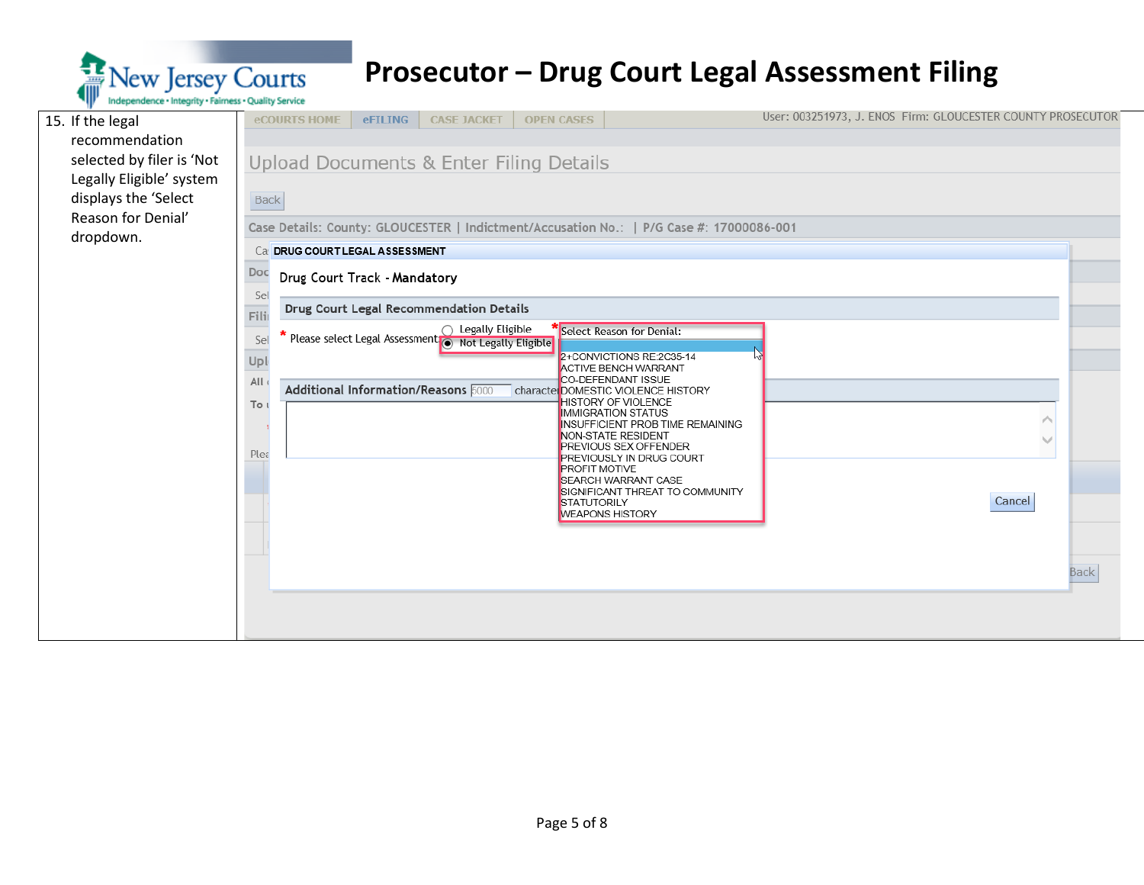

| 15. If the legal          | User: 003251973, J. ENOS Firm: GLOUCESTER COUNTY PROSECUTOR<br><b>eCOURTS HOME</b><br><b>eFILING</b><br><b>CASE JACKET</b><br><b>OPEN CASES</b>      |  |
|---------------------------|------------------------------------------------------------------------------------------------------------------------------------------------------|--|
| recommendation            |                                                                                                                                                      |  |
| selected by filer is 'Not | Upload Documents & Enter Filing Details                                                                                                              |  |
| Legally Eligible' system  |                                                                                                                                                      |  |
| displays the 'Select      | <b>Back</b>                                                                                                                                          |  |
| Reason for Denial'        | Case Details: County: GLOUCESTER   Indictment/Accusation No.:   P/G Case #: 17000086-001                                                             |  |
| dropdown.                 | Ca: DRUG COURT LEGAL ASSESSMENT                                                                                                                      |  |
|                           | Doc<br>Drug Court Track - Mandatory                                                                                                                  |  |
|                           | Sel<br>Drug Court Legal Recommendation Details<br>Filir                                                                                              |  |
|                           | * Please select Legal Assessment O Legally Eligible *<br>  Please select Legal Assessment O Not Legally Eligible<br>Select Reason for Denial:<br>Sel |  |
|                           | 2+CONVICTIONS RE:2C35-14<br>Upl<br><b>ACTIVE BENCH WARRANT</b>                                                                                       |  |
|                           | CO-DEFENDANT ISSUE<br>All<br>Additional Information/Reasons 5000<br>character DOMESTIC VIOLENCE HISTORY                                              |  |
|                           | <b>HISTORY OF VIOLENCE</b><br>To u<br><b>IMMIGRATION STATUS</b>                                                                                      |  |
|                           | <b>INSUFFICIENT PROB TIME REMAINING</b>                                                                                                              |  |
|                           | NON-STATE RESIDENT<br><b>PREVIOUS SEX OFFENDER</b><br>Plea                                                                                           |  |
|                           | <b>PREVIOUSLY IN DRUG COURT</b><br><b>PROFIT MOTIVE</b>                                                                                              |  |
|                           | <b>SEARCH WARRANT CASE</b><br>SIGNIFICANT THREAT TO COMMUNITY                                                                                        |  |
|                           | Cancel<br>STATUTORILY<br><b>WEAPONS HISTORY</b>                                                                                                      |  |
|                           |                                                                                                                                                      |  |
|                           |                                                                                                                                                      |  |
|                           | <b>Back</b>                                                                                                                                          |  |
|                           |                                                                                                                                                      |  |
|                           |                                                                                                                                                      |  |
|                           |                                                                                                                                                      |  |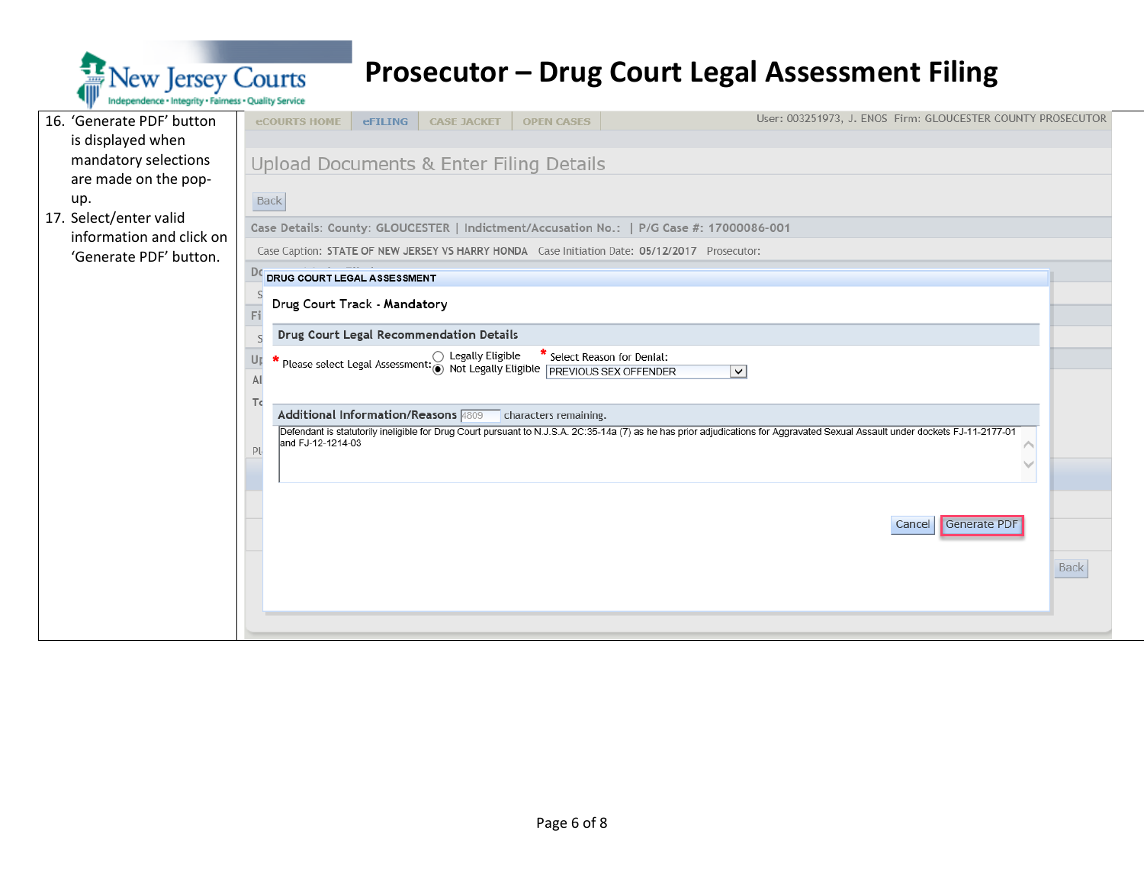

| 16. 'Generate PDF' button | User: 003251973, J. ENOS Firm: GLOUCESTER COUNTY PROSECUTOR<br><b>eCOURTS HOME</b><br><b>CASE JACKET</b><br><b>OPEN CASES</b><br><b>eFILING</b>                                      |  |  |  |  |  |  |  |  |  |
|---------------------------|--------------------------------------------------------------------------------------------------------------------------------------------------------------------------------------|--|--|--|--|--|--|--|--|--|
| is displayed when         |                                                                                                                                                                                      |  |  |  |  |  |  |  |  |  |
| mandatory selections      | Upload Documents & Enter Filing Details                                                                                                                                              |  |  |  |  |  |  |  |  |  |
| are made on the pop-      |                                                                                                                                                                                      |  |  |  |  |  |  |  |  |  |
| up.                       | <b>Back</b>                                                                                                                                                                          |  |  |  |  |  |  |  |  |  |
| 17. Select/enter valid    | Case Details: County: GLOUCESTER   Indictment/Accusation No.:   P/G Case #: 17000086-001                                                                                             |  |  |  |  |  |  |  |  |  |
| information and click on  | Case Caption: STATE OF NEW JERSEY VS HARRY HONDA Case Initiation Date: 05/12/2017 Prosecutor:                                                                                        |  |  |  |  |  |  |  |  |  |
| 'Generate PDF' button.    |                                                                                                                                                                                      |  |  |  |  |  |  |  |  |  |
|                           | De DRUG COURT LEGAL ASSESSMENT                                                                                                                                                       |  |  |  |  |  |  |  |  |  |
|                           | Drug Court Track - Mandatory                                                                                                                                                         |  |  |  |  |  |  |  |  |  |
|                           | Drug Court Legal Recommendation Details                                                                                                                                              |  |  |  |  |  |  |  |  |  |
|                           |                                                                                                                                                                                      |  |  |  |  |  |  |  |  |  |
|                           | Please select Legal Assessment: © Legally Eligible * Select Reason for Denial:<br>Please select Legal Assessment: © Not Legally Eligible PREVIOUS SEX OFFENDER<br>Uŗ<br>$\checkmark$ |  |  |  |  |  |  |  |  |  |
|                           |                                                                                                                                                                                      |  |  |  |  |  |  |  |  |  |
|                           | Τc<br>Additional Information/Reasons 4809 characters remaining.                                                                                                                      |  |  |  |  |  |  |  |  |  |
|                           | Defendant is statutorily ineligible for Drug Court pursuant to N.J.S.A. 2C:35-14a (7) as he has prior adjudications for Aggravated Sexual Assault under dockets FJ-11-2177-01        |  |  |  |  |  |  |  |  |  |
|                           | and FJ-12-1214-03<br>PI                                                                                                                                                              |  |  |  |  |  |  |  |  |  |
|                           |                                                                                                                                                                                      |  |  |  |  |  |  |  |  |  |
|                           |                                                                                                                                                                                      |  |  |  |  |  |  |  |  |  |
|                           |                                                                                                                                                                                      |  |  |  |  |  |  |  |  |  |
|                           | Generate PDF<br>Cancel                                                                                                                                                               |  |  |  |  |  |  |  |  |  |
|                           |                                                                                                                                                                                      |  |  |  |  |  |  |  |  |  |
|                           | Back                                                                                                                                                                                 |  |  |  |  |  |  |  |  |  |
|                           |                                                                                                                                                                                      |  |  |  |  |  |  |  |  |  |
|                           |                                                                                                                                                                                      |  |  |  |  |  |  |  |  |  |
|                           |                                                                                                                                                                                      |  |  |  |  |  |  |  |  |  |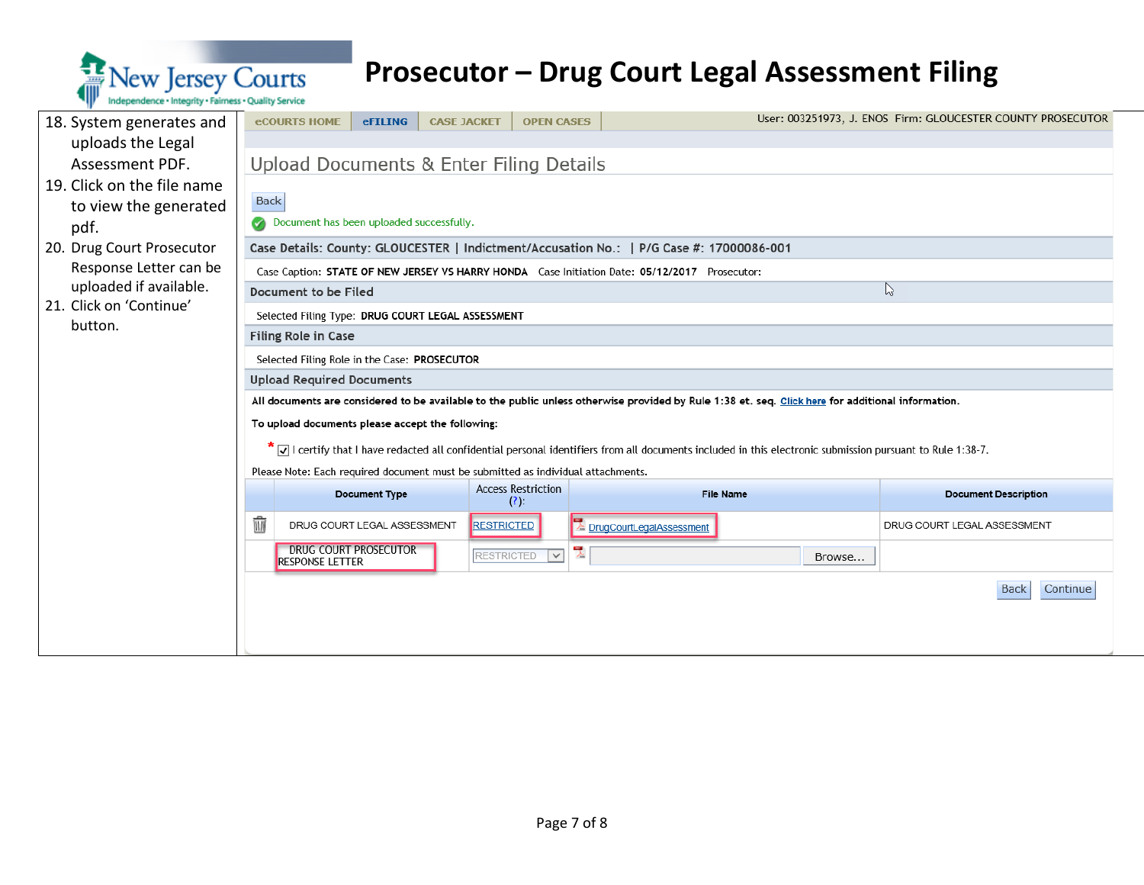

| 18. System generates and   | <b>eCOURTS HOME</b><br><b>eFILING</b>                  | <b>CASE JACKET</b>                                                               | <b>OPEN CASES</b>                                                                                                                                       |              | User: 003251973, J. ENOS Firm: GLOUCESTER COUNTY PROSECUTOR |
|----------------------------|--------------------------------------------------------|----------------------------------------------------------------------------------|---------------------------------------------------------------------------------------------------------------------------------------------------------|--------------|-------------------------------------------------------------|
| uploads the Legal          |                                                        |                                                                                  |                                                                                                                                                         |              |                                                             |
| Assessment PDF.            |                                                        | Upload Documents & Enter Filing Details                                          |                                                                                                                                                         |              |                                                             |
| 19. Click on the file name |                                                        |                                                                                  |                                                                                                                                                         |              |                                                             |
| to view the generated      | <b>Back</b>                                            |                                                                                  |                                                                                                                                                         |              |                                                             |
| pdf.                       | Document has been uploaded successfully.               |                                                                                  |                                                                                                                                                         |              |                                                             |
| 20. Drug Court Prosecutor  |                                                        |                                                                                  |                                                                                                                                                         |              |                                                             |
| Response Letter can be     |                                                        |                                                                                  | Case Caption: STATE OF NEW JERSEY VS HARRY HONDA Case Initiation Date: 05/12/2017 Prosecutor:                                                           |              |                                                             |
| uploaded if available.     | Document to be Filed                                   |                                                                                  |                                                                                                                                                         | $\heartsuit$ |                                                             |
| 21. Click on 'Continue'    | Selected Filing Type: DRUG COURT LEGAL ASSESSMENT      |                                                                                  |                                                                                                                                                         |              |                                                             |
| button.                    | Filing Role in Case                                    |                                                                                  |                                                                                                                                                         |              |                                                             |
|                            | Selected Filing Role in the Case: PROSECUTOR           |                                                                                  |                                                                                                                                                         |              |                                                             |
|                            | <b>Upload Required Documents</b>                       |                                                                                  |                                                                                                                                                         |              |                                                             |
|                            |                                                        |                                                                                  | All documents are considered to be available to the public unless otherwise provided by Rule 1:38 et. seq. Click here for additional information.       |              |                                                             |
|                            | To upload documents please accept the following:       |                                                                                  |                                                                                                                                                         |              |                                                             |
|                            |                                                        |                                                                                  | √ certify that I have redacted all confidential personal identifiers from all documents included in this electronic submission pursuant to Rule 1:38-7. |              |                                                             |
|                            |                                                        | Please Note: Each required document must be submitted as individual attachments. |                                                                                                                                                         |              |                                                             |
|                            | Document Type                                          | <b>Access Restriction</b><br>(?):                                                | <b>File Name</b>                                                                                                                                        |              | <b>Document Description</b>                                 |
|                            | Ŵ<br>DRUG COURT LEGAL ASSESSMENT                       | <b>RESTRICTED</b>                                                                | E DrugCourtLegalAssessment                                                                                                                              |              | DRUG COURT LEGAL ASSESSMENT                                 |
|                            | <b>DRUG COURT PROSECUTOR</b><br><b>RESPONSE LETTER</b> | <b>RESTRICTED</b>                                                                | 밋<br>$\vert \vee \vert$                                                                                                                                 | Browse       |                                                             |
|                            |                                                        |                                                                                  |                                                                                                                                                         |              | Continue<br><b>Back</b>                                     |
|                            |                                                        |                                                                                  |                                                                                                                                                         |              |                                                             |
|                            |                                                        |                                                                                  |                                                                                                                                                         |              |                                                             |
|                            |                                                        |                                                                                  |                                                                                                                                                         |              |                                                             |